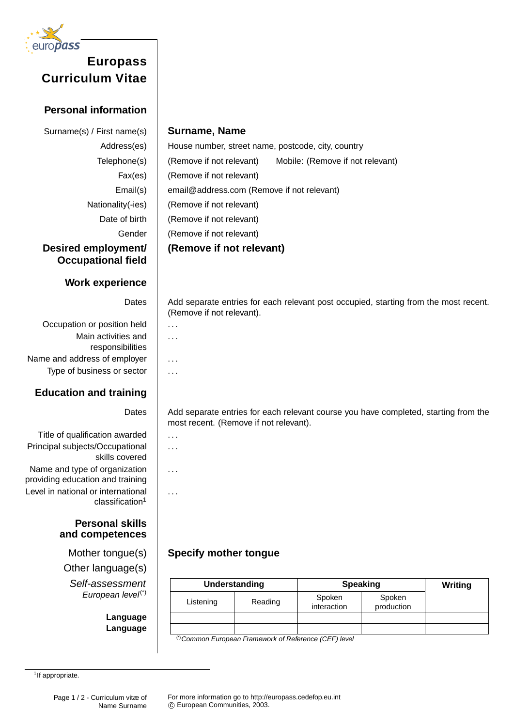

# **Curriculum Vitae**

## **Personal information**

**Desired employment/ Occupational field**

### **Work experience**

Occupation or position held  $\|\ldots\|$ Main activities and responsibilities Name and address of employer  $| \dots$ Type of business or sector  $\vert \cdot \rangle$ ...

## **Education and training**

Title of qualification awarded  $\|\ldots\|$ Principal subjects/Occupational skills covered Name and type of organization

providing education and training Level in national or international  $classification<sup>1</sup>$ 

#### **Personal skills and competences**

Other language(s) Self-assessment European level(\*)

> **Language Language**

#### Surname(s) / First name(s) **Surname, Name**

Address(es) House number, street name, postcode, city, country Telephone(s) (Remove if not relevant) Mobile: (Remove if not relevant) Fax(es) | (Remove if not relevant) Email(s) email@address.com (Remove if not relevant) Nationality(-ies) | (Remove if not relevant) Date of birth | (Remove if not relevant) Gender | (Remove if not relevant) **(Remove if not relevant)**

> Dates | Add separate entries for each relevant post occupied, starting from the most recent. (Remove if not relevant).

> > . . .

Dates Add separate entries for each relevant course you have completed, starting from the most recent. (Remove if not relevant).

. . .

. . .

. . .

# Mother tongue(s) **Specify mother tongue**

| Understanding |         | <b>Speaking</b>       |                      | Writing |
|---------------|---------|-----------------------|----------------------|---------|
| Listening     | Reading | Spoken<br>interaction | Spoken<br>production |         |
|               |         |                       |                      |         |
| .             |         |                       |                      |         |

(\*)Common European Framework of Reference (CEF) level

<sup>1</sup> If appropriate.